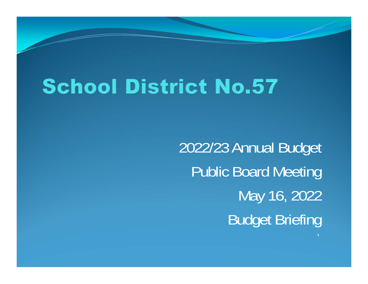# **School District No.57**

2022/23 Annual Budget Public Board Meeting May 16, 2022 Budget Briefing

`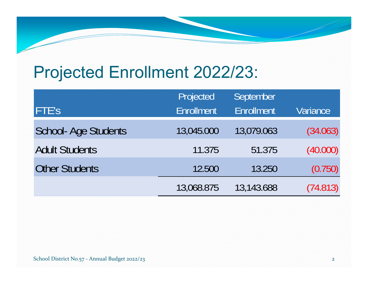## Projected Enrollment 2022/23:

|                            | Projected         | September         |          |
|----------------------------|-------------------|-------------------|----------|
| <b>FTE's</b>               | <b>Enrollment</b> | <b>Enrollment</b> | Variance |
| <b>School-Age Students</b> | 13,045.000        | 13,079.063        | (34.063) |
| <b>Adult Students</b>      | 11.375            | 51.375            | (40.000) |
| <b>Other Students</b>      | 12.500            | 13.250            | (0.750)  |
|                            | 13,068.875        | 13,143.688        | (74.813) |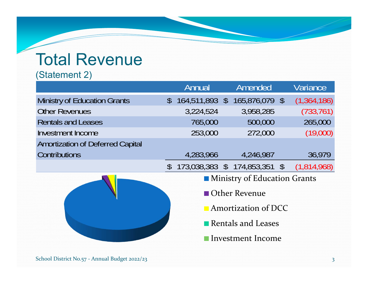# Total Revenue

#### (Statement 2)

|                                         |                     | Annual            |  | Amended                       |  | Variance    |  |  |
|-----------------------------------------|---------------------|-------------------|--|-------------------------------|--|-------------|--|--|
| <b>Ministry of Education Grants</b>     |                     | $$164,511,893$ \$ |  | $165,876,079$ \$              |  | (1,364,186) |  |  |
| <b>Other Revenues</b>                   |                     | 3,224,524         |  | 3,958,285                     |  | (733, 761)  |  |  |
| <b>Rentals and Leases</b>               |                     | 765,000           |  | 500,000                       |  | 265,000     |  |  |
| Investment Income                       |                     | 253,000           |  | 272,000                       |  | (19,000)    |  |  |
| <b>Amortization of Deferred Capital</b> |                     |                   |  |                               |  |             |  |  |
| <b>Contributions</b>                    |                     | 4,283,966         |  | 4,246,987                     |  | 36,979      |  |  |
|                                         | $\mathcal{S}$       |                   |  | 173,038,383 \$ 174,853,351 \$ |  | (1,814,968) |  |  |
|                                         |                     |                   |  | Ministry of Education Grants  |  |             |  |  |
|                                         |                     |                   |  | <b>Other Revenue</b>          |  |             |  |  |
|                                         | Amortization of DCC |                   |  |                               |  |             |  |  |
|                                         |                     |                   |  | Rentals and Leases            |  |             |  |  |
|                                         |                     |                   |  |                               |  |             |  |  |

Investment Income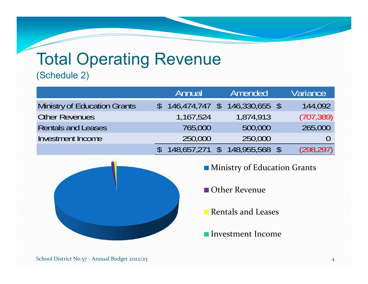# Total Operating Revenue

#### (Schedule 2)

|                              | Annual           | Amended        | Variance   |
|------------------------------|------------------|----------------|------------|
| Ministry of Education Grants | $146,474,747$ \$ | 146,330,655 \$ | 144,092    |
| <b>Other Revenues</b>        | 1,167,524        | 1,874,913      | (707, 389) |
| <b>Rentals and Leases</b>    | 765,000          | 500,000        | 265,000    |
| <b>Investment Income</b>     | 250,000          | 250,000        |            |
|                              | 148,657,271 \$   | 148,955,568    | (298, 297) |



- **Ministry of Education Grants**
- Other Revenue
- Rentals and Leases
- Investment Income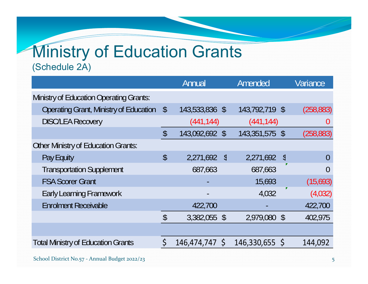## **Ministry of Education Grants** (Schedule 2A)

|                                                |                            | Annual         |            | Amended        |              | Variance   |
|------------------------------------------------|----------------------------|----------------|------------|----------------|--------------|------------|
| <b>Ministry of Education Operating Grants:</b> |                            |                |            |                |              |            |
| <b>Operating Grant, Ministry of Education</b>  | $\sqrt$                    | 143,533,836 \$ |            | 143,792,719 \$ |              | (258, 883) |
| <b>DISC/LEA Recovery</b>                       |                            | (441, 144)     |            | (441, 144)     |              | U          |
|                                                | $\boldsymbol{\mathsf{\$}}$ | 143,092,692 \$ |            | 143,351,575 \$ |              | (258, 883) |
| <b>Other Ministry of Education Grants:</b>     |                            |                |            |                |              |            |
| Pay Equity                                     | \$                         | 2,271,692      | $\sqrt{2}$ | 2,271,692      | $\sqrt[6]{}$ | O          |
| <b>Transportation Supplement</b>               |                            | 687,663        |            | 687,663        |              |            |
| <b>FSA Scorer Grant</b>                        |                            |                |            | 15,693         |              | (15,693)   |
| <b>Early Learning Framework</b>                |                            |                |            | 4,032          |              | (4,032)    |
| <b>Enrolment Receivable</b>                    |                            | 422,700        |            |                |              | 422,700    |
|                                                | \$                         | 3,382,055 \$   |            | 2,979,080 \$   |              | 402,975    |
|                                                |                            |                |            |                |              |            |
| <b>Total Ministry of Education Grants</b>      |                            | 146,474,747 \$ |            | 146,330,655 \$ |              | 144,092    |
|                                                |                            |                |            |                |              |            |

School District No.57 ‐ Annual Budget 2022/23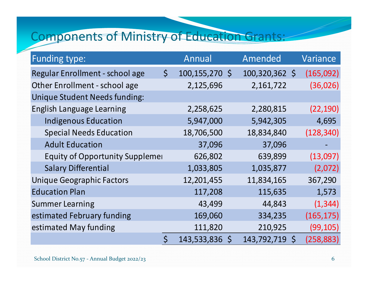## Components of Ministry of Education Grants:

| <b>Funding type:</b>                   |             | Annual         | Amended        |              | Variance   |
|----------------------------------------|-------------|----------------|----------------|--------------|------------|
| Regular Enrollment - school age        | $\zeta$     | 100,155,270 \$ | 100,320,362 \$ |              | (165,092)  |
| Other Enrollment - school age          |             | 2,125,696      | 2,161,722      |              | (36, 026)  |
| <b>Unique Student Needs funding:</b>   |             |                |                |              |            |
| <b>English Language Learning</b>       |             | 2,258,625      | 2,280,815      |              | (22, 190)  |
| <b>Indigenous Education</b>            |             | 5,947,000      | 5,942,305      |              | 4,695      |
| <b>Special Needs Education</b>         |             | 18,706,500     | 18,834,840     |              | (128, 340) |
| <b>Adult Education</b>                 |             | 37,096         | 37,096         |              |            |
| <b>Equity of Opportunity Supplemer</b> |             | 626,802        | 639,899        |              | (13,097)   |
| <b>Salary Differential</b>             |             | 1,033,805      | 1,035,877      |              | (2,072)    |
| <b>Unique Geographic Factors</b>       |             | 12,201,455     | 11,834,165     |              | 367,290    |
| <b>Education Plan</b>                  |             | 117,208        | 115,635        |              | 1,573      |
| <b>Summer Learning</b>                 |             | 43,499         | 44,843         |              | (1, 344)   |
| estimated February funding             |             | 169,060        | 334,235        |              | (165, 175) |
| estimated May funding                  |             | 111,820        | 210,925        |              | (99, 105)  |
|                                        | $\varsigma$ | 143,533,836 \$ | 143,792,719    | $\mathsf{S}$ | (258, 883) |

School District No.57 ‐ Annual Budget 2022/23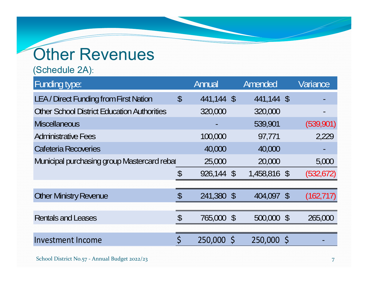# **Other Revenues**

(Schedule 2A):

| Funding type:                                      |                            | Annual     | Amended      |         | Variance   |
|----------------------------------------------------|----------------------------|------------|--------------|---------|------------|
| LEA / Direct Funding from First Nation             | $\boldsymbol{\mathsf{\$}}$ | 441,144 \$ | 441,144 \$   |         |            |
| <b>Other School District Education Authorities</b> |                            | 320,000    | 320,000      |         |            |
| <b>Miscellaneous</b>                               |                            |            | 539,901      |         | (539,901)  |
| <b>Administrative Fees</b>                         |                            | 100,000    | 97,771       |         | 2,229      |
| Cafeteria Recoveries                               |                            | 40,000     | 40,000       |         |            |
| Municipal purchasing group Mastercard rebal        |                            | 25,000     | 20,000       |         | 5,000      |
|                                                    | \$                         | 926,144 \$ | 1,458,816 \$ |         | (532, 672) |
|                                                    |                            |            |              |         |            |
| <b>Other Ministry Revenue</b>                      | $\boldsymbol{\mathsf{S}}$  | 241,380 \$ | 404,097      | $\sqrt$ | (162, 717) |
|                                                    |                            |            |              |         |            |
| <b>Rentals and Leases</b>                          | $\mathcal{S}$              | 765,000 \$ | 500,000 \$   |         | 265,000    |
|                                                    |                            |            |              |         |            |
| <b>Investment Income</b>                           | $\varsigma$                | 250,000 \$ | 250,000 \$   |         |            |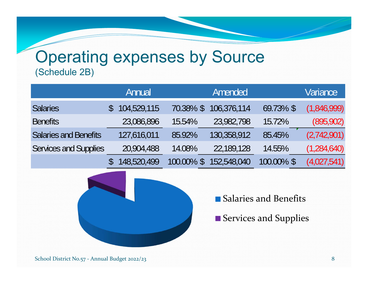### Operating expenses by Source (Schedule 2B)

|                              | Annual      |           | Amended     |            | <b>Variance</b> |
|------------------------------|-------------|-----------|-------------|------------|-----------------|
| <b>Salaries</b>              | 104,529,115 | 70.38% \$ | 106,376,114 | 69.73% \$  | (1,846,999)     |
| <b>Benefits</b>              | 23,086,896  | 15.54%    | 23,982,798  | 15.72%     | (895, 902)      |
| <b>Salaries and Benefits</b> | 127,616,011 | 85.92%    | 130,358,912 | 85.45%     | (2,742,901)     |
| <b>Services and Supplies</b> | 20,904,488  | 14.08%    | 22,189,128  | 14.55%     | (1,284,640)     |
|                              | 148,520,499 | 100.00%   | 152,548,040 | 100.00% \$ | (4,027,541)     |



Salaries and Benefits

Services and Supplies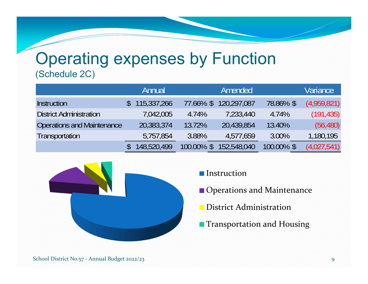#### Operating expenses by Function (Schedule 2C)

|                                | Annual      |                          | Amended     |            | Variance    |
|--------------------------------|-------------|--------------------------|-------------|------------|-------------|
| <b>Instruction</b>             | 115,337,266 | 77.66% \$                | 120,297,087 | 78.86% \$  | (4,959,821) |
| <b>District Administration</b> | 7,042,005   | 4.74%                    | 7,233,440   | 4.74%      | (191, 435)  |
| Operations and Maintenance     | 20,383,374  | 13.72%                   | 20,439,854  | 13.40%     | (56, 480)   |
| Transportation                 | 5,757,854   | 3.88%                    | 4,577,659   | 3.00%      | 1,180,195   |
|                                | 148,520,499 | 100.00%<br>$\mathcal{S}$ | 152,548,040 | 100.00% \$ | (4,027,541) |



**Instruction** 

**Operations and Maintenance** 

District Administration

**Transportation and Housing**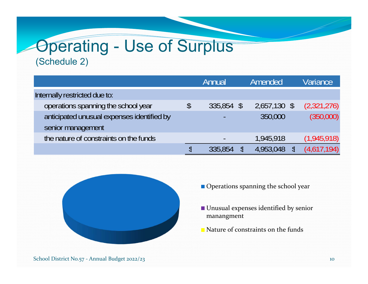### Operating - Use of Surplus (Schedule 2)

|                                            | Annual                   |               | <b>Amended</b> | Variance    |
|--------------------------------------------|--------------------------|---------------|----------------|-------------|
| Internally restricted due to:              |                          |               |                |             |
| operations spanning the school year        | \$<br>335,854            | $\mathcal{S}$ | 2,657,130 \$   | (2,321,276) |
| anticipated unusual expenses identified by |                          |               | 350,000        | (350,000)   |
| senior management                          |                          |               |                |             |
| the nature of constraints on the funds     | $\overline{\phantom{a}}$ |               | 1,945,918      | (1,945,918) |
|                                            | 335,854                  |               | 4,953,048      | (4,617,194) |



- Operations spanning the school year
- Unusual expenses identified by senior manangment
- Nature of constraints on the funds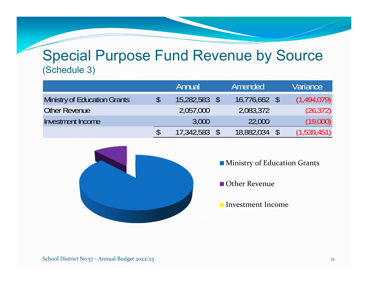#### Special Purpose Fund Revenue by Source (Schedule 3)

|                              | Annual     | Amended         | Variance    |
|------------------------------|------------|-----------------|-------------|
| Ministry of Education Grants | 15,282,583 | $16,776,662$ \$ | (1,494,079) |
| Other Revenue                | 2,057,000  | 2,083,372       | (26, 372)   |
| Investment Income            | 3,000      | 22,000          | (19,000)    |
|                              | 17,342,583 | 18,882,034      | (1,539,451) |



- **Ministry of Education Grants**
- Other Revenue
- Investment Income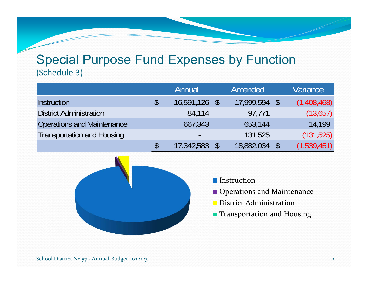#### Special Purpose Fund Expenses by Function (Schedule 3)

|                                   | Annual                   | Amended    | Variance    |
|-----------------------------------|--------------------------|------------|-------------|
| <b>Instruction</b>                | \$<br>16,591,126 \$      | 17,999,594 | (1,408,468) |
| <b>District Administration</b>    | 84,114                   | 97,771     | (13,657)    |
| <b>Operations and Maintenance</b> | 667,343                  | 653,144    | 14.199      |
| <b>Transportation and Housing</b> | $\overline{\phantom{0}}$ | 131,525    | (131, 525)  |
|                                   | 17,342,583               | 18,882,034 | (1,539,451) |



- **Instruction**
- Operations and Maintenance
- District Administration
- **Transportation and Housing**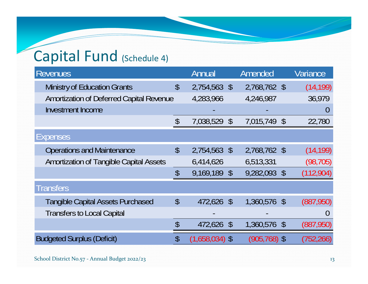# Capital Fund (Schedule 4)

| <b>Revenues</b>                                |                           | Annual           | Amended         | Variance       |
|------------------------------------------------|---------------------------|------------------|-----------------|----------------|
| <b>Ministry of Education Grants</b>            | $\boldsymbol{\mathsf{S}}$ | 2,754,563 \$     | 2,768,762 \$    | (14, 199)      |
| Amortization of Deferred Capital Revenue       |                           | 4,283,966        | 4,246,987       | 36,979         |
| <b>Investment Income</b>                       |                           |                  |                 | $\overline{0}$ |
|                                                | $\boldsymbol{\mathsf{S}}$ | 7,038,529 \$     | 7,015,749 \$    | 22,780         |
| Expenses                                       |                           |                  |                 |                |
| <b>Operations and Maintenance</b>              | $\boldsymbol{\mathsf{S}}$ | 2,754,563 \$     | 2,768,762 \$    | (14, 199)      |
| <b>Amortization of Tangible Capital Assets</b> |                           | 6,414,626        | 6,513,331       | (98, 705)      |
|                                                | \$                        | 9,169,189 \$     | 9,282,093 \$    | (112, 904)     |
| Transfers                                      |                           |                  |                 |                |
| <b>Tangible Capital Assets Purchased</b>       | $\boldsymbol{\mathsf{S}}$ | 472,626 \$       | 1,360,576 \$    | (887,950)      |
| <b>Transfers to Local Capital</b>              |                           |                  |                 |                |
|                                                | \$                        | 472,626 \$       | 1,360,576 \$    | (887, 950)     |
| <b>Budgeted Surplus (Deficit)</b>              | \$                        | $(1,658,034)$ \$ | $(905, 768)$ \$ | (752, 266)     |